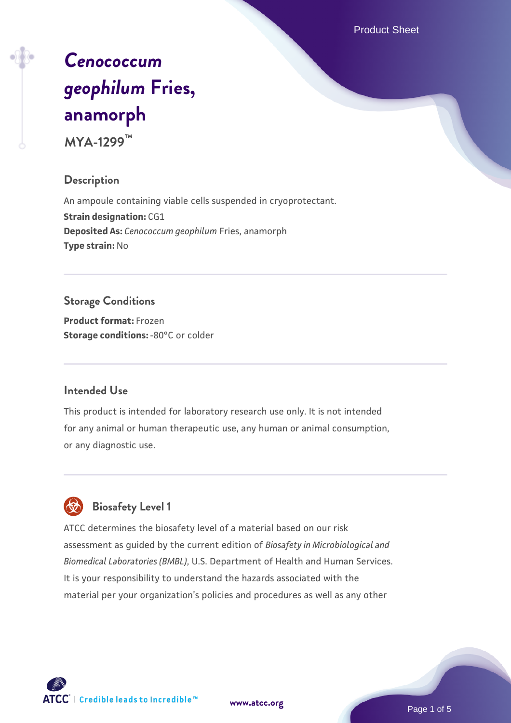Product Sheet

# *[Cenococcum](https://www.atcc.org/products/mya-1299) [geophilum](https://www.atcc.org/products/mya-1299)* **[Fries,](https://www.atcc.org/products/mya-1299) [anamorph](https://www.atcc.org/products/mya-1299)**

**MYA-1299™**

#### **Description**

An ampoule containing viable cells suspended in cryoprotectant. **Strain designation: CG1 Deposited As:** *Cenococcum geophilum* Fries, anamorph **Type strain:** No

### **Storage Conditions**

**Product format:** Frozen **Storage conditions: -80°C** or colder

#### **Intended Use**

This product is intended for laboratory research use only. It is not intended for any animal or human therapeutic use, any human or animal consumption, or any diagnostic use.



## **Biosafety Level 1**

ATCC determines the biosafety level of a material based on our risk assessment as guided by the current edition of *Biosafety in Microbiological and Biomedical Laboratories (BMBL)*, U.S. Department of Health and Human Services. It is your responsibility to understand the hazards associated with the material per your organization's policies and procedures as well as any other

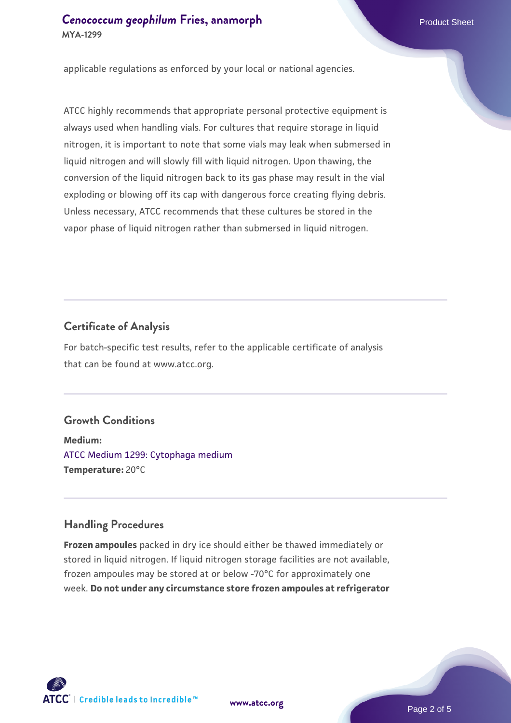applicable regulations as enforced by your local or national agencies.

ATCC highly recommends that appropriate personal protective equipment is always used when handling vials. For cultures that require storage in liquid nitrogen, it is important to note that some vials may leak when submersed in liquid nitrogen and will slowly fill with liquid nitrogen. Upon thawing, the conversion of the liquid nitrogen back to its gas phase may result in the vial exploding or blowing off its cap with dangerous force creating flying debris. Unless necessary, ATCC recommends that these cultures be stored in the vapor phase of liquid nitrogen rather than submersed in liquid nitrogen.

#### **Certificate of Analysis**

For batch-specific test results, refer to the applicable certificate of analysis that can be found at www.atcc.org.

#### **Growth Conditions**

**Medium:**  [ATCC Medium 1299: Cytophaga medium](https://www.atcc.org/-/media/product-assets/documents/microbial-media-formulations/atcc-medium-1299.pdf?rev=faecd9d9c39e4817a80d1a4dd6c7c53a) **Temperature:** 20°C

#### **Handling Procedures**

**Frozen ampoules** packed in dry ice should either be thawed immediately or stored in liquid nitrogen. If liquid nitrogen storage facilities are not available, frozen ampoules may be stored at or below -70°C for approximately one week. **Do not under any circumstance store frozen ampoules at refrigerator**

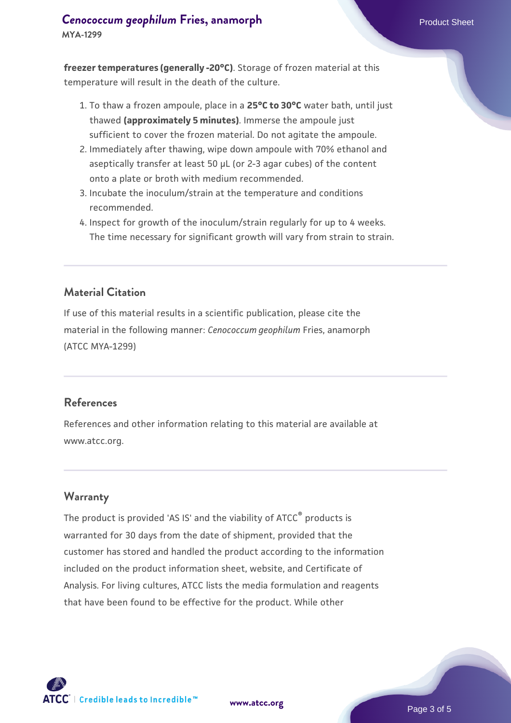# **[Cenococcum geophilum](https://www.atcc.org/products/mya-1299) [Fries, anamorph](https://www.atcc.org/products/mya-1299)** Product Sheet

**MYA-1299**

**freezer temperatures (generally -20°C)**. Storage of frozen material at this temperature will result in the death of the culture.

- 1. To thaw a frozen ampoule, place in a **25°C to 30°C** water bath, until just thawed **(approximately 5 minutes)**. Immerse the ampoule just sufficient to cover the frozen material. Do not agitate the ampoule.
- 2. Immediately after thawing, wipe down ampoule with 70% ethanol and aseptically transfer at least 50 µL (or 2-3 agar cubes) of the content onto a plate or broth with medium recommended.
- 3. Incubate the inoculum/strain at the temperature and conditions recommended.
- 4. Inspect for growth of the inoculum/strain regularly for up to 4 weeks. The time necessary for significant growth will vary from strain to strain.

#### **Material Citation**

If use of this material results in a scientific publication, please cite the material in the following manner: *Cenococcum geophilum* Fries, anamorph (ATCC MYA-1299)

#### **References**

References and other information relating to this material are available at www.atcc.org.

#### **Warranty**

The product is provided 'AS IS' and the viability of ATCC<sup>®</sup> products is warranted for 30 days from the date of shipment, provided that the customer has stored and handled the product according to the information included on the product information sheet, website, and Certificate of Analysis. For living cultures, ATCC lists the media formulation and reagents that have been found to be effective for the product. While other



**[www.atcc.org](http://www.atcc.org)**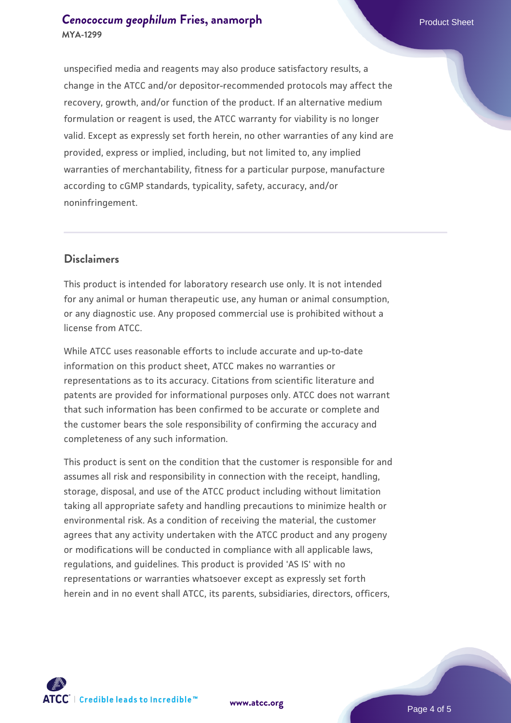#### **[Cenococcum geophilum](https://www.atcc.org/products/mya-1299) [Fries, anamorph](https://www.atcc.org/products/mya-1299)** Product Sheet **MYA-1299**

unspecified media and reagents may also produce satisfactory results, a change in the ATCC and/or depositor-recommended protocols may affect the recovery, growth, and/or function of the product. If an alternative medium formulation or reagent is used, the ATCC warranty for viability is no longer valid. Except as expressly set forth herein, no other warranties of any kind are provided, express or implied, including, but not limited to, any implied warranties of merchantability, fitness for a particular purpose, manufacture according to cGMP standards, typicality, safety, accuracy, and/or noninfringement.

#### **Disclaimers**

This product is intended for laboratory research use only. It is not intended for any animal or human therapeutic use, any human or animal consumption, or any diagnostic use. Any proposed commercial use is prohibited without a license from ATCC.

While ATCC uses reasonable efforts to include accurate and up-to-date information on this product sheet, ATCC makes no warranties or representations as to its accuracy. Citations from scientific literature and patents are provided for informational purposes only. ATCC does not warrant that such information has been confirmed to be accurate or complete and the customer bears the sole responsibility of confirming the accuracy and completeness of any such information.

This product is sent on the condition that the customer is responsible for and assumes all risk and responsibility in connection with the receipt, handling, storage, disposal, and use of the ATCC product including without limitation taking all appropriate safety and handling precautions to minimize health or environmental risk. As a condition of receiving the material, the customer agrees that any activity undertaken with the ATCC product and any progeny or modifications will be conducted in compliance with all applicable laws, regulations, and guidelines. This product is provided 'AS IS' with no representations or warranties whatsoever except as expressly set forth herein and in no event shall ATCC, its parents, subsidiaries, directors, officers,